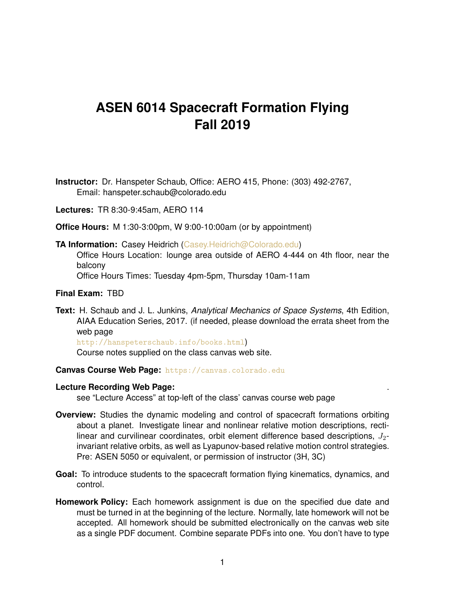## **ASEN 6014 Spacecraft Formation Flying Fall 2019**

**Instructor:** Dr. Hanspeter Schaub, Office: AERO 415, Phone: (303) 492-2767, Email: hanspeter.schaub@colorado.edu

**Lectures:** TR 8:30-9:45am, AERO 114

**Office Hours:** M 1:30-3:00pm, W 9:00-10:00am (or by appointment)

**TA Information:** Casey Heidrich [\(Casey.Heidrich@Colorado.edu\)](mailto:Casey.Heidrich@Colorado.edu)

Office Hours Location: lounge area outside of AERO 4-444 on 4th floor, near the balcony

Office Hours Times: Tuesday 4pm-5pm, Thursday 10am-11am

**Final Exam:** TBD

**Text:** H. Schaub and J. L. Junkins, *Analytical Mechanics of Space Systems*, 4th Edition, AIAA Education Series, 2017. (if needed, please download the errata sheet from the web page <http://hanspeterschaub.info/books.html>) Course notes supplied on the class canvas web site.

## **Canvas Course Web Page:** <https://canvas.colorado.edu>

## **Lecture Recording Web Page:** .

see "Lecture Access" at top-left of the class' canvas course web page

- **Overview:** Studies the dynamic modeling and control of spacecraft formations orbiting about a planet. Investigate linear and nonlinear relative motion descriptions, rectilinear and curvilinear coordinates, orbit element difference based descriptions,  $J_2$ invariant relative orbits, as well as Lyapunov-based relative motion control strategies. Pre: ASEN 5050 or equivalent, or permission of instructor (3H, 3C)
- **Goal:** To introduce students to the spacecraft formation flying kinematics, dynamics, and control.
- **Homework Policy:** Each homework assignment is due on the specified due date and must be turned in at the beginning of the lecture. Normally, late homework will not be accepted. All homework should be submitted electronically on the canvas web site as a single PDF document. Combine separate PDFs into one. You don't have to type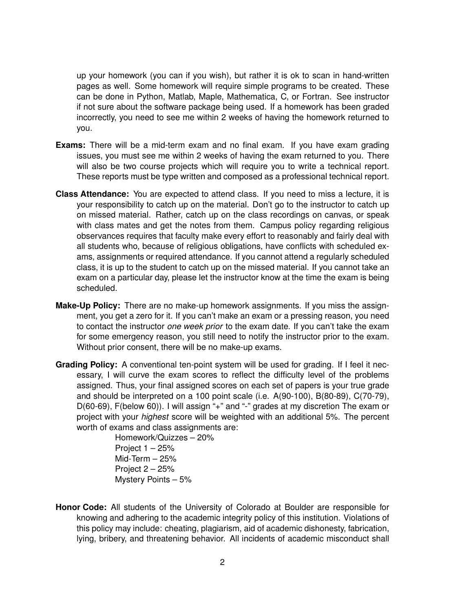up your homework (you can if you wish), but rather it is ok to scan in hand-written pages as well. Some homework will require simple programs to be created. These can be done in Python, Matlab, Maple, Mathematica, C, or Fortran. See instructor if not sure about the software package being used. If a homework has been graded incorrectly, you need to see me within 2 weeks of having the homework returned to you.

- **Exams:** There will be a mid-term exam and no final exam. If you have exam grading issues, you must see me within 2 weeks of having the exam returned to you. There will also be two course projects which will require you to write a technical report. These reports must be type written and composed as a professional technical report.
- **Class Attendance:** You are expected to attend class. If you need to miss a lecture, it is your responsibility to catch up on the material. Don't go to the instructor to catch up on missed material. Rather, catch up on the class recordings on canvas, or speak with class mates and get the notes from them. Campus policy regarding religious observances requires that faculty make every effort to reasonably and fairly deal with all students who, because of religious obligations, have conflicts with scheduled exams, assignments or required attendance. If you cannot attend a regularly scheduled class, it is up to the student to catch up on the missed material. If you cannot take an exam on a particular day, please let the instructor know at the time the exam is being scheduled.
- **Make-Up Policy:** There are no make-up homework assignments. If you miss the assignment, you get a zero for it. If you can't make an exam or a pressing reason, you need to contact the instructor *one week prior* to the exam date. If you can't take the exam for some emergency reason, you still need to notify the instructor prior to the exam. Without prior consent, there will be no make-up exams.
- **Grading Policy:** A conventional ten-point system will be used for grading. If I feel it necessary, I will curve the exam scores to reflect the difficulty level of the problems assigned. Thus, your final assigned scores on each set of papers is your true grade and should be interpreted on a 100 point scale (i.e. A(90-100), B(80-89), C(70-79), D(60-69), F(below 60)). I will assign "+" and "-" grades at my discretion The exam or project with your *highest* score will be weighted with an additional 5%. The percent worth of exams and class assignments are:

Homework/Quizzes – 20% Project 1 – 25% Mid-Term – 25% Project 2 – 25% Mystery Points – 5%

**Honor Code:** All students of the University of Colorado at Boulder are responsible for knowing and adhering to the academic integrity policy of this institution. Violations of this policy may include: cheating, plagiarism, aid of academic dishonesty, fabrication, lying, bribery, and threatening behavior. All incidents of academic misconduct shall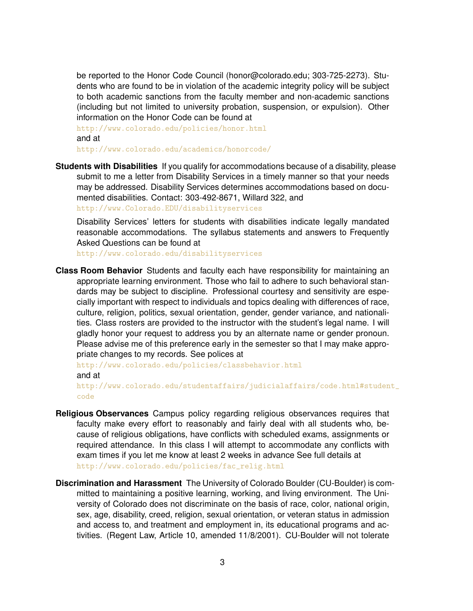be reported to the Honor Code Council (honor@colorado.edu; 303-725-2273). Students who are found to be in violation of the academic integrity policy will be subject to both academic sanctions from the faculty member and non-academic sanctions (including but not limited to university probation, suspension, or expulsion). Other information on the Honor Code can be found at

<http://www.colorado.edu/policies/honor.html> and at

<http://www.colorado.edu/academics/honorcode/>

**Students with Disabilities** If you qualify for accommodations because of a disability, please submit to me a letter from Disability Services in a timely manner so that your needs may be addressed. Disability Services determines accommodations based on documented disabilities. Contact: 303-492-8671, Willard 322, and

<http://www.Colorado.EDU/disabilityservices>

Disability Services' letters for students with disabilities indicate legally mandated reasonable accommodations. The syllabus statements and answers to Frequently Asked Questions can be found at

<http://www.colorado.edu/disabilityservices>

**Class Room Behavior** Students and faculty each have responsibility for maintaining an appropriate learning environment. Those who fail to adhere to such behavioral standards may be subject to discipline. Professional courtesy and sensitivity are especially important with respect to individuals and topics dealing with differences of race, culture, religion, politics, sexual orientation, gender, gender variance, and nationalities. Class rosters are provided to the instructor with the student's legal name. I will gladly honor your request to address you by an alternate name or gender pronoun. Please advise me of this preference early in the semester so that I may make appropriate changes to my records. See polices at

<http://www.colorado.edu/policies/classbehavior.html> and at

[http://www.colorado.edu/studentaffairs/judicialaffairs/code.html#studen](http://www.colorado.edu/studentaffairs/judicialaffairs/code.html#student_code)t\_ [code](http://www.colorado.edu/studentaffairs/judicialaffairs/code.html#student_code)

- **Religious Observances** Campus policy regarding religious observances requires that faculty make every effort to reasonably and fairly deal with all students who, because of religious obligations, have conflicts with scheduled exams, assignments or required attendance. In this class I will attempt to accommodate any conflicts with exam times if you let me know at least 2 weeks in advance See full details at [http://www.colorado.edu/policies/fac\\_relig.html](http://www.colorado.edu/policies/fac_relig.html)
- **Discrimination and Harassment** The University of Colorado Boulder (CU-Boulder) is committed to maintaining a positive learning, working, and living environment. The University of Colorado does not discriminate on the basis of race, color, national origin, sex, age, disability, creed, religion, sexual orientation, or veteran status in admission and access to, and treatment and employment in, its educational programs and activities. (Regent Law, Article 10, amended 11/8/2001). CU-Boulder will not tolerate